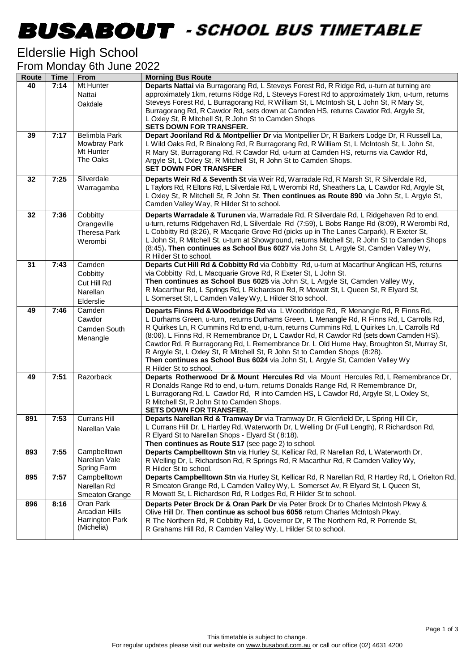## -

### Elderslie High School

| From Monday 6th June 2022 |  |  |
|---------------------------|--|--|
|                           |  |  |

| Route | <b>Time</b> | From                         | <b>Morning Bus Route</b>                                                                                                                                                                  |
|-------|-------------|------------------------------|-------------------------------------------------------------------------------------------------------------------------------------------------------------------------------------------|
| 40    | 7:14        | Mt Hunter                    | Departs Nattai via Burragorang Rd, L Steveys Forest Rd, R Ridge Rd, u-turn at turning are                                                                                                 |
|       |             | Nattai                       | approximately 1km, returns Ridge Rd, L Steveys Forest Rd to approximately 1km, u-turn, returns                                                                                            |
|       |             | Oakdale                      | Steveys Forest Rd, L Burragorang Rd, R William St, L McIntosh St, L John St, R Mary St,                                                                                                   |
|       |             |                              | Burragorang Rd, R Cawdor Rd, sets down at Camden HS, returns Cawdor Rd, Argyle St,                                                                                                        |
|       |             |                              | L Oxley St, R Mitchell St, R John St to Camden Shops<br><b>SETS DOWN FOR TRANSFER.</b>                                                                                                    |
| 39    | 7:17        | <b>Belimbla Park</b>         | Depart Jooriland Rd & Montpellier Dr via Montpellier Dr, R Barkers Lodge Dr, R Russell La,                                                                                                |
|       |             | Mowbray Park                 | L Wild Oaks Rd, R Binalong Rd, R Burragorang Rd, R William St, L McIntosh St, L John St,                                                                                                  |
|       |             | Mt Hunter                    | R Mary St, Burragorang Rd, R Cawdor Rd, u-turn at Camden HS, returns via Cawdor Rd,                                                                                                       |
|       |             | The Oaks                     | Argyle St, L Oxley St, R Mitchell St, R John St to Camden Shops.                                                                                                                          |
|       |             |                              | <b>SET DOWN FOR TRANSFER</b>                                                                                                                                                              |
| 32    | 7:25        | Silverdale                   | Departs Weir Rd & Seventh St via Weir Rd, Warradale Rd, R Marsh St, R Silverdale Rd,                                                                                                      |
|       |             | Warragamba                   | L Taylors Rd, R Eltons Rd, L Silverdale Rd, L Werombi Rd, Sheathers La, L Cawdor Rd, Argyle St,                                                                                           |
|       |             |                              | L Oxley St, R Mitchell St, R John St. Then continues as Route 890 via John St, L Argyle St,                                                                                               |
|       |             |                              | Camden Valley Way, R Hilder St to school.                                                                                                                                                 |
| 32    | 7:36        | Cobbitty                     | Departs Warradale & Turunen via, Warradale Rd, R Silverdale Rd, L Ridgehaven Rd to end,                                                                                                   |
|       |             | Orangeville                  | u-turn, returns Ridgehaven Rd, L Silverdale Rd (7:59), L Bobs Range Rd (8:09), R Werombi Rd,                                                                                              |
|       |             | Theresa Park                 | L Cobbitty Rd (8:26), R Macqarie Grove Rd (picks up in The Lanes Carpark), R Exeter St,<br>L John St, R Mitchell St, u-turn at Showground, returns Mitchell St, R John St to Camden Shops |
|       |             | Werombi                      | (8:45). Then continues as School Bus 6027 via John St, L Argyle St, Camden Valley Wy,                                                                                                     |
|       |             |                              | R Hilder St to school.                                                                                                                                                                    |
| 31    | 7:43        | Camden                       | Departs Cut Hill Rd & Cobbitty Rd via Cobbitty Rd, u-turn at Macarthur Anglican HS, returns                                                                                               |
|       |             | Cobbitty                     | via Cobbitty Rd, L Macquarie Grove Rd, R Exeter St, L John St.                                                                                                                            |
|       |             | Cut Hill Rd                  | Then continues as School Bus 6025 via John St, L Argyle St, Camden Valley Wy,                                                                                                             |
|       |             | Narellan                     | R Macarthur Rd, L Springs Rd, L Richardson Rd, R Mowatt St, L Queen St, R Elyard St,                                                                                                      |
|       |             | Elderslie                    | L Somerset St, L Camden Valley Wy, L Hilder St to school.                                                                                                                                 |
| 49    | 7:46        | Camden                       | Departs Finns Rd & Woodbridge Rd via L Woodbridge Rd, R Menangle Rd, R Finns Rd,                                                                                                          |
|       |             | Cawdor                       | L Durhams Green, u-turn, returns Durhams Green, L Menangle Rd, R Finns Rd, L Carrolls Rd,                                                                                                 |
|       |             | Camden South                 | R Quirkes Ln, R Cummins Rd to end, u-turn, returns Cummins Rd, L Quirkes Ln, L Carrolls Rd<br>(8:06), L Finns Rd, R Remembrance Dr, L Cawdor Rd, R Cawdor Rd (sets down Camden HS),       |
|       |             | Menangle                     | Cawdor Rd, R Burragorang Rd, L Remembrance Dr, L Old Hume Hwy, Broughton St, Murray St,                                                                                                   |
|       |             |                              | R Argyle St, L Oxley St, R Mitchell St, R John St to Camden Shops (8:28).                                                                                                                 |
|       |             |                              | Then continues as School Bus 6024 via John St, L Argyle St, Camden Valley Wy                                                                                                              |
|       |             |                              | R Hilder St to school.                                                                                                                                                                    |
| 49    | 7:51        | Razorback                    | Departs Rotherwood Dr & Mount Hercules Rd via Mount Hercules Rd, L Remembrance Dr,                                                                                                        |
|       |             |                              | R Donalds Range Rd to end, u-turn, returns Donalds Range Rd, R Remembrance Dr,                                                                                                            |
|       |             |                              | L Burragorang Rd, L Cawdor Rd, R into Camden HS, L Cawdor Rd, Argyle St, L Oxley St,<br>R Mitchell St, R John St to Camden Shops.                                                         |
|       |             |                              | <b>SETS DOWN FOR TRANSFER.</b>                                                                                                                                                            |
| 891   | 7:53        | <b>Currans Hill</b>          | Departs Narellan Rd & Tramway Dr via Tramway Dr, R Glenfield Dr, L Spring Hill Cir,                                                                                                       |
|       |             | Narellan Vale                | L Currans Hill Dr, L Hartley Rd, Waterworth Dr, L Welling Dr (Full Length), R Richardson Rd,                                                                                              |
|       |             |                              | R Elyard St to Narellan Shops - Elyard St (8:18).                                                                                                                                         |
|       |             |                              | Then continues as Route S17 (see page 2) to school.                                                                                                                                       |
| 893   | 7:55        | Campbelltown                 | Departs Campbelltown Stn via Hurley St, Kellicar Rd, R Narellan Rd, L Waterworth Dr,                                                                                                      |
|       |             | Narellan Vale<br>Spring Farm | R Welling Dr, L Richardson Rd, R Springs Rd, R Macarthur Rd, R Camden Valley Wy,<br>R Hilder St to school.                                                                                |
| 895   | 7:57        | Campbelltown                 | Departs Campbelltown Stn via Hurley St, Kellicar Rd, R Narellan Rd, R Hartley Rd, L Orielton Rd,                                                                                          |
|       |             | Narellan Rd                  | R Smeaton Grange Rd, L Camden Valley Wy, L Somerset Av, R Elyard St, L Queen St,                                                                                                          |
|       |             | Smeaton Grange               | R Mowatt St, L Richardson Rd, R Lodges Rd, R Hilder St to school.                                                                                                                         |
| 896   | 8:16        | Oran Park                    | Departs Peter Brock Dr & Oran Park Dr via Peter Brock Dr to Charles McIntosh Pkwy &                                                                                                       |
|       |             | Arcadian Hills               | Olive Hill Dr. Then continue as school bus 6056 return Charles McIntosh Pkwy,                                                                                                             |
|       |             | Harrington Park              | R The Northern Rd, R Cobbitty Rd, L Governor Dr, R The Northern Rd, R Porrende St,                                                                                                        |
|       |             | (Michelia)                   | R Grahams Hill Rd, R Camden Valley Wy, L Hilder St to school.                                                                                                                             |
|       |             |                              |                                                                                                                                                                                           |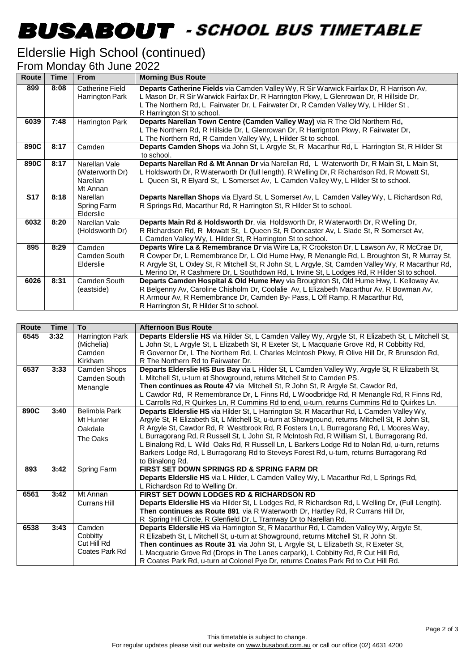# -

### Elderslie High School (continued)

#### From Monday 6th June 2022

| <b>Route</b> | <b>Time</b> | <b>From</b>                                                     | <b>Morning Bus Route</b>                                                                                                                                                                                                                                                                                                                                                                    |
|--------------|-------------|-----------------------------------------------------------------|---------------------------------------------------------------------------------------------------------------------------------------------------------------------------------------------------------------------------------------------------------------------------------------------------------------------------------------------------------------------------------------------|
| 899          | 8:08        | <b>Catherine Field</b><br>Harrington Park                       | Departs Catherine Fields via Camden Valley Wy, R Sir Warwick Fairfax Dr, R Harrison Av,<br>L Mason Dr, R Sir Warwick Fairfax Dr, R Harrington Pkwy, L Glenrowan Dr, R Hillside Dr,<br>L The Northern Rd, L Fairwater Dr, L Fairwater Dr, R Camden Valley Wy, L Hilder St,<br>R Harrington St to school.                                                                                     |
| 6039         | 7:48        | Harrington Park                                                 | Departs Narellan Town Centre (Camden Valley Way) via R The Old Northern Rd,<br>L The Northern Rd, R Hillside Dr, L Glenrowan Dr, R Harrignton Pkwy, R Fairwater Dr,<br>L The Northern Rd, R Camden Valley Wy, L Hilder St to school.                                                                                                                                                        |
| 890C         | 8:17        | Camden                                                          | Departs Camden Shops via John St, L Argyle St, R Macarthur Rd, L Harrington St, R Hilder St<br>to school.                                                                                                                                                                                                                                                                                   |
| 890C         | 8:17        | Narellan Vale<br>(Waterworth Dr)<br><b>Narellan</b><br>Mt Annan | Departs Narellan Rd & Mt Annan Dr via Narellan Rd, L Waterworth Dr, R Main St, L Main St,<br>L Holdsworth Dr, R Waterworth Dr (full length), R Welling Dr, R Richardson Rd, R Mowatt St,<br>L Queen St, R Elyard St, L Somerset Av, L Camden Valley Wy, L Hilder St to school.                                                                                                              |
| <b>S17</b>   | 8:18        | Narellan<br>Spring Farm<br>Elderslie                            | Departs Narellan Shops via Elyard St, L Somerset Av, L Camden Valley Wy, L Richardson Rd,<br>R Springs Rd, Macarthur Rd, R Harrington St, R Hilder St to school.                                                                                                                                                                                                                            |
| 6032         | 8:20        | Narellan Vale<br>(Holdsworth Dr)                                | Departs Main Rd & Holdsworth Dr, via Holdsworth Dr, R Waterworth Dr, R Welling Dr,<br>R Richardson Rd, R Mowatt St, L Queen St, R Doncaster Av, L Slade St, R Somerset Av,<br>L Camden Valley Wy, L Hilder St, R Harrington St to school.                                                                                                                                                   |
| 895          | 8:29        | Camden<br>Camden South<br>Elderslie                             | Departs Wire La & Remembrance Dr via Wire La, R Crookston Dr, L Lawson Av, R McCrae Dr,<br>R Cowper Dr, L Remembrance Dr, L Old Hume Hwy, R Menangle Rd, L Broughton St, R Murray St,<br>R Argyle St, L Oxley St, R Mitchell St, R John St, L Argyle, St, Camden Valley Wy, R Macarthur Rd,<br>L Merino Dr, R Cashmere Dr, L Southdown Rd, L Irvine St, L Lodges Rd, R Hilder St to school. |
| 6026         | 8:31        | Camden South<br>(eastside)                                      | Departs Camden Hospital & Old Hume Hwy via Broughton St, Old Hume Hwy, L Kelloway Av,<br>R Belgenny Av, Caroline Chisholm Dr, Coolalie Av, L Elizabeth Macarthur Av, R Bowman Av,<br>R Armour Av, R Remembrance Dr, Camden By- Pass, L Off Ramp, R Macarthur Rd,<br>R Harrington St, R Hilder St to school.                                                                                 |

| <b>Route</b> | <b>Time</b> | To                                                  | <b>Afternoon Bus Route</b>                                                                                                                                                                                                                                                                                                                                                                                                                                                                                                                                                                      |
|--------------|-------------|-----------------------------------------------------|-------------------------------------------------------------------------------------------------------------------------------------------------------------------------------------------------------------------------------------------------------------------------------------------------------------------------------------------------------------------------------------------------------------------------------------------------------------------------------------------------------------------------------------------------------------------------------------------------|
| 6545         | 3:32        | Harrington Park<br>(Michelia)<br>Camden<br>Kirkham  | Departs Elderslie HS via Hilder St, L Camden Valley Wy, Argyle St, R Elizabeth St, L Mitchell St,<br>L John St, L Argyle St, L Elizabeth St, R Exeter St, L Macquarie Grove Rd, R Cobbitty Rd,<br>R Governor Dr, L The Northern Rd, L Charles McIntosh Pkwy, R Olive Hill Dr, R Brunsdon Rd,<br>R The Northern Rd to Fairwater Dr.                                                                                                                                                                                                                                                              |
| 6537         | 3:33        | Camden Shops<br>Camden South<br>Menangle            | Departs Elderslie HS Bus Bay via L Hilder St, L Camden Valley Wy, Argyle St, R Elizabeth St,<br>L Mitchell St, u-turn at Showground, returns Mitchell St to Camden PS.<br>Then continues as Route 47 via Mitchell St, R John St, R Argyle St, Cawdor Rd,<br>L Cawdor Rd, R Remembrance Dr, L Finns Rd, L Woodbridge Rd, R Menangle Rd, R Finns Rd,<br>L Carrolls Rd, R Quirkes Ln, R Cummins Rd to end, u-turn, returns Cummins Rd to Quirkes Ln.                                                                                                                                               |
| 890C         | 3:40        | Belimbla Park<br>Mt Hunter<br>Oakdale<br>The Oaks   | Departs Elderslie HS via Hilder St, L Harrington St, R Macarthur Rd, L Camden Valley Wy,<br>Argyle St, R Elizabeth St, L Mitchell St, u-turn at Showground, returns Mitchell St, R John St,<br>R Argyle St, Cawdor Rd, R Westbrook Rd, R Fosters Ln, L Burragorang Rd, L Moores Way,<br>L Burragorang Rd, R Russell St, L John St, R McIntosh Rd, R William St, L Burragorang Rd,<br>L Binalong Rd, L Wild Oaks Rd, R Russell Ln, L Barkers Lodge Rd to Nolan Rd, u-turn, returns<br>Barkers Lodge Rd, L Burragorang Rd to Steveys Forest Rd, u-turn, returns Burragorang Rd<br>to Binalong Rd. |
| 893          | 3:42        | Spring Farm                                         | <b>FIRST SET DOWN SPRINGS RD &amp; SPRING FARM DR</b><br>Departs Elderslie HS via L Hilder, L Camden Valley Wy, L Macarthur Rd, L Springs Rd,<br>L Richardson Rd to Welling Dr.                                                                                                                                                                                                                                                                                                                                                                                                                 |
| 6561         | 3:42        | Mt Annan<br>Currans Hill                            | FIRST SET DOWN LODGES RD & RICHARDSON RD<br>Departs Elderslie HS via Hilder St, L Lodges Rd, R Richardson Rd, L Welling Dr, (Full Length).<br>Then continues as Route 891 via R Waterworth Dr, Hartley Rd, R Currans Hill Dr,<br>R Spring Hill Circle, R Glenfield Dr, L Tramway Dr to Narellan Rd.                                                                                                                                                                                                                                                                                             |
| 6538         | 3:43        | Camden<br>Cobbitty<br>Cut Hill Rd<br>Coates Park Rd | Departs Elderslie HS via Harrington St, R Macarthur Rd, L Camden Valley Wy, Argyle St,<br>R Elizabeth St, L Mitchell St, u-turn at Showground, returns Mitchell St, R John St.<br>Then continues as Route 31 via John St, L Argyle St, L Elizabeth St, R Exeter St,<br>L Macquarie Grove Rd (Drops in The Lanes carpark), L Cobbitty Rd, R Cut Hill Rd,<br>R Coates Park Rd, u-turn at Colonel Pye Dr, returns Coates Park Rd to Cut Hill Rd.                                                                                                                                                   |